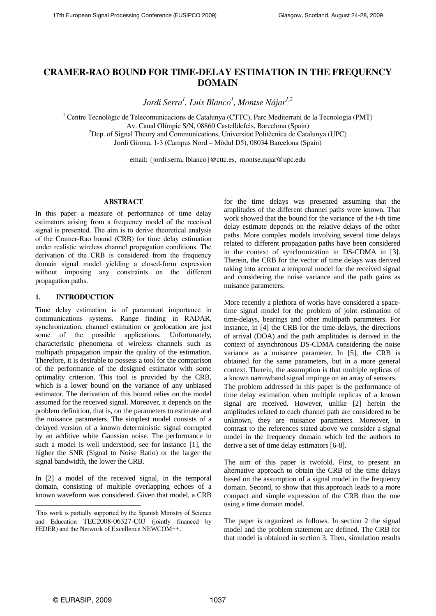# **CRAMER-RAO BOUND FOR TIME-DELAY ESTIMATION IN THE FREQUENCY DOMAIN**

*Jordi Serra1 , Luis Blanco1 , Montse Nájar1,2*

<sup>1</sup> Centre Tecnològic de Telecomunicacions de Catalunya (CTTC), Parc Mediterrani de la Tecnologia (PMT) Av. Canal Olímpic S/N, 08860 Castelldefels, Barcelona (Spain) 2  $^{2}$ Dep. of Signal Theory and Communications, Universitat Politècnica de Catalunya (UPC) Jordi Girona, 1-3 (Campus Nord – Mòdul D5), 08034 Barcelona (Spain)

email: {jordi.serra, lblanco}@cttc.es, montse.najar@upc.edu

# **ABSTRACT**

In this paper a measure of performance of time delay estimators arising from a frequency model of the received signal is presented. The aim is to derive theoretical analysis of the Cramer-Rao bound (CRB) for time delay estimation under realistic wireless channel propagation conditions. The derivation of the CRB is considered from the frequency domain signal model yielding a closed-form expression without imposing any constraints on the different propagation paths.

#### **1. INTRODUCTION**

Time delay estimation is of paramount importance in communications systems. Range finding in RADAR, synchronization, channel estimation or geolocation are just some of the possible applications. Unfortunately, characteristic phenomena of wireless channels such as multipath propagation impair the quality of the estimation. Therefore, it is desirable to possess a tool for the comparison of the performance of the designed estimator with some optimality criterion. This tool is provided by the CRB, which is a lower bound on the variance of any unbiased estimator. The derivation of this bound relies on the model assumed for the received signal. Moreover, it depends on the problem definition, that is, on the parameters to estimate and the nuisance parameters. The simplest model consists of a delayed version of a known deterministic signal corrupted by an additive white Gaussian noise. The performance in such a model is well understood, see for instance [1], the higher the SNR (Signal to Noise Ratio) or the larger the signal bandwidth, the lower the CRB.

In [2] a model of the received signal, in the temporal domain, consisting of multiple overlapping echoes of a known waveform was considered. Given that model, a CRB for the time delays was presented assuming that the amplitudes of the different channel paths were known. That work showed that the bound for the variance of the *i*-th time delay estimate depends on the relative delays of the other paths. More complex models involving several time delays related to different propagation paths have been considered in the context of synchronization in DS-CDMA in [3]. Therein, the CRB for the vector of time delays was derived taking into account a temporal model for the received signal and considering the noise variance and the path gains as nuisance parameters.

More recently a plethora of works have considered a spacetime signal model for the problem of joint estimation of time-delays, bearings and other multipath parameters. For instance, in [4] the CRB for the time-delays, the directions of arrival (DOA) and the path amplitudes is derived in the context of asynchronous DS-CDMA considering the noise variance as a nuisance parameter. In [5], the CRB is obtained for the same parameters, but in a more general context. Therein, the assumption is that multiple replicas of a known narrowband signal impinge on an array of sensors. The problem addressed in this paper is the performance of time delay estimation when multiple replicas of a known signal are received. However, unlike [2] herein the amplitudes related to each channel path are considered to be unknown, they are nuisance parameters. Moreover, in contrast to the references stated above we consider a signal model in the frequency domain which led the authors to derive a set of time delay estimators [6-8].

The aim of this paper is twofold. First, to present an alternative approach to obtain the CRB of the time delays based on the assumption of a signal model in the frequency domain. Second, to show that this approach leads to a more compact and simple expression of the CRB than the one using a time domain model.

The paper is organized as follows. In section 2 the signal model and the problem statement are defined. The CRB for that model is obtained in section 3. Then, simulation results

l

This work is partially supported by the Spanish Ministry of Science and Education TEC2008-06327-C03 (jointly financed by FEDER) and the Network of Excellence NEWCOM++.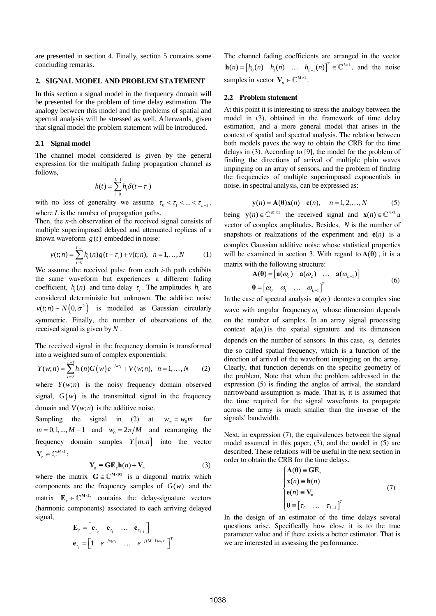are presented in section 4. Finally, section 5 contains some concluding remarks.

# **2. SIGNAL MODEL AND PROBLEM STATEMENT**

In this section a signal model in the frequency domain will be presented for the problem of time delay estimation. The analogy between this model and the problems of spatial and spectral analysis will be stressed as well. Afterwards, given that signal model the problem statement will be introduced.

### **2.1 Signal model**

The channel model considered is given by the general expression for the multipath fading propagation channel as follows,

$$
h(t) = \sum_{i=0}^{L-1} h_i \delta(t - \tau_i)
$$

with no loss of generality we assume  $\tau_0 < \tau_1 < ... < \tau_{L-1}$ , where *L* is the number of propagation paths.

Then, the *n*-th observation of the received signal consists of multiple superimposed delayed and attenuated replicas of a known waveform  $g(t)$  embedded in noise:

$$
y(t;n) = \sum_{i=0}^{L-1} h_i(n)g(t-\tau_i) + v(t;n), \quad n = 1,...,N \tag{1}
$$

We assume the received pulse from each *i*-th path exhibits the same waveform but experiences a different fading coefficient,  $h_i(n)$  and time delay  $\tau_i$ . The amplitudes  $h_i$  are considered deterministic but unknown. The additive noise  $v(t; n) \sim N(0, \sigma^2)$  is modelled as Gaussian circularly symmetric. Finally, the number of observations of the received signal is given by *N* .

The received signal in the frequency domain is transformed into a weighted sum of complex exponentials:

$$
Y(w;n) = \sum_{i=0}^{L-1} h_i(n)G(w)e^{-jwr_i} + V(w;n), \ \ n = 1,...,N \qquad (2)
$$

where  $Y(w; n)$  is the noisy frequency domain observed signal,  $G(w)$  is the transmitted signal in the frequency domain and  $V(w; n)$  is the additive noise.

Sampling the signal in (2) at  $w_m = w_0 m$  for  $m = 0, 1, \dots, M - 1$  and  $w_0 = 2\pi/M$  and rearranging the frequency domain samples  $Y[m, n]$  into the vector  $\mathbf{Y}_n \in \mathbb{C}^{M \times 1}$ :

$$
\mathbf{Y}_n = \mathbf{G} \mathbf{E}_z \mathbf{h}(n) + \mathbf{V}_n \tag{3}
$$

where the matrix  $\mathbf{G} \in \mathbb{C}^{M \times M}$  is a diagonal matrix which components are the frequency samples of  $G(w)$  and the matrix  $\mathbf{E}_t \in \mathbb{C}^{M \times L}$  contains the delay-signature vectors (harmonic components) associated to each arriving delayed signal,

$$
\mathbf{E}_{\tau} = \begin{bmatrix} \mathbf{e}_{\tau_0} & \mathbf{e}_{\tau_1} & \dots & \mathbf{e}_{\tau_{L-1}} \end{bmatrix}
$$

$$
\mathbf{e}_{\tau_i} = \begin{bmatrix} 1 & e^{-j\omega_0 \tau_i} & \dots & e^{-j(M-1)\omega_0 \tau_i} \end{bmatrix}^T
$$

The channel fading coefficients are arranged in the vector  $h(n) = [h_0(n) \quad h_1(n) \quad \dots \quad h_{L-1}(n)]^T \in \mathbb{C}^{L \times 1}$ , and the noise samples in vector  $V_n \in \mathbb{C}^{M \times 1}$ .

#### **2.2 Problem statement**

At this point it is interesting to stress the analogy between the model in (3), obtained in the framework of time delay estimation, and a more general model that arises in the context of spatial and spectral analysis. The relation between both models paves the way to obtain the CRB for the time delays in (3). According to [9], the model for the problem of finding the directions of arrival of multiple plain waves impinging on an array of sensors, and the problem of finding the frequencies of multiple superimposed exponentials in noise, in spectral analysis, can be expressed as:

$$
\mathbf{y}(n) = \mathbf{A}(\mathbf{\theta})\mathbf{x}(n) + \mathbf{e}(n), \quad n = 1, 2, \dots, N \tag{5}
$$

being  $\mathbf{v}(n) \in \mathbb{C}^{M \times 1}$  the received signal and  $\mathbf{x}(n) \in \mathbb{C}^{n \times 1}$  a vector of complex amplitudes. Besides, *N* is the number of snapshots or realizations of the experiment and  $e(n)$  is a complex Gaussian additive noise whose statistical properties will be examined in section 3. With regard to  $A(\theta)$ , it is a matrix with the following structure:

$$
\mathbf{A}(\mathbf{\theta}) = \begin{bmatrix} \mathbf{a}(\omega_o) & \mathbf{a}(\omega_2) & \dots & \mathbf{a}(\omega_{L-1}) \end{bmatrix}
$$
  

$$
\mathbf{\theta} = \begin{bmatrix} \omega_0 & \omega_1 & \dots & \omega_{L-1} \end{bmatrix}^T
$$
 (6)

In the case of spectral analysis  $a(\omega)$  denotes a complex sine wave with angular frequency  $\omega$ , whose dimension depends on the number of samples. In an array signal processing context  $\mathbf{a}(\omega)$  is the spatial signature and its dimension depends on the number of sensors. In this case,  $\omega$  denotes the so called spatial frequency, which is a function of the direction of arrival of the wavefront impinging on the array. Clearly, that function depends on the specific geometry of the problem, Note that when the problem addressed in the expression (5) is finding the angles of arrival, the standard narrowband assumption is made. That is, it is assumed that the time required for the signal wavefronts to propagate across the array is much smaller than the inverse of the signals' bandwidth.

Next, in expression (7), the equivalences between the signal model assumed in this paper, (3), and the model in (5) are described. These relations will be useful in the next section in order to obtain the CRB for the time delays.

$$
\begin{cases}\n\mathbf{A}(\mathbf{\theta}) \equiv \mathbf{G} \mathbf{E}_{\tau} \\
\mathbf{x}(n) \equiv \mathbf{h}(n) \\
\mathbf{e}(n) \equiv \mathbf{V}_{n} \\
\mathbf{\theta} \equiv [\tau_{0} \quad \dots \quad \tau_{L-1}]^{T}\n\end{cases}
$$
\n(7)

In the design of an estimator of the time delays several questions arise. Specifically how close it is to the true parameter value and if there exists a better estimator. That is we are interested in assessing the performance.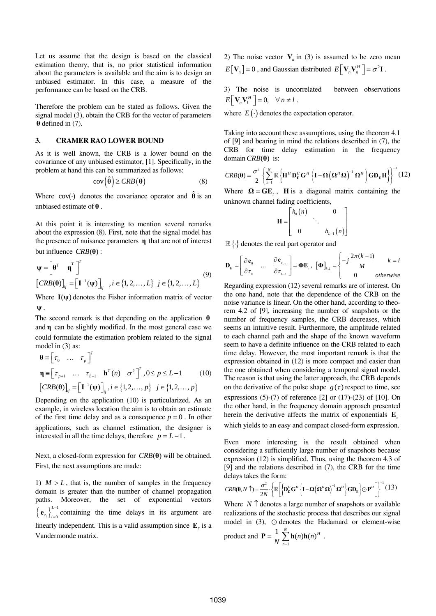Let us assume that the design is based on the classical estimation theory, that is, no prior statistical information about the parameters is available and the aim is to design an unbiased estimator. In this case, a measure of the performance can be based on the CRB.

Therefore the problem can be stated as follows. Given the signal model (3), obtain the CRB for the vector of parameters **θ** defined in (7).

# **3. CRAMER RAO LOWER BOUND**

As it is well known, the CRB is a lower bound on the covariance of any unbiased estimator, [1]. Specifically, in the problem at hand this can be summarized as follows:

$$
cov(\hat{\theta}) \geq CRB(\theta) \tag{8}
$$

Where  $cov(\cdot)$  denotes the covariance operator and  $\hat{\theta}$  is an unbiased estimate of **θ** .

At this point it is interesting to mention several remarks about the expression (8). First, note that the signal model has the presence of nuisance parameters **η** that are not of interest but influence  $CRB(\theta)$  :

$$
\mathbf{\Psi} = \left[\begin{matrix} \mathbf{\theta}^T & \mathbf{\eta}^T \end{matrix}\right]^T
$$
  
\n
$$
\left[CRB(\mathbf{\theta})\right]_{ij} = \left[\mathbf{I}^{-1}(\mathbf{\Psi})\right]_{ij}, i \in \{1, 2, ..., L\} \quad j \in \{1, 2, ..., L\}
$$
 (9)

Where  $I(\psi)$  denotes the Fisher information matrix of vector **ψ** .

The second remark is that depending on the application **θ** and **η** can be slightly modified. In the most general case we could formulate the estimation problem related to the signal model in (3) as:

$$
\mathbf{\theta} = \begin{bmatrix} \tau_0 & \dots & \tau_p \end{bmatrix}^T
$$
  
\n
$$
\mathbf{\eta} = \begin{bmatrix} \tau_{p+1} & \dots & \tau_{L-1} & \mathbf{h}^T(n) & \sigma^2 \end{bmatrix}^T, 0 \le p \le L - 1
$$
 (10)  
\n
$$
\begin{bmatrix} CRB(\mathbf{\theta}) \end{bmatrix}_{ij} = \begin{bmatrix} \mathbf{I}^{-1}(\mathbf{\psi}) \end{bmatrix}_{ij}, i \in \{1, 2, \dots, p\} \quad j \in \{1, 2, \dots, p\}
$$

Depending on the application (10) is particularized. As an example, in wireless location the aim is to obtain an estimate of the first time delay and as a consequence  $p = 0$ . In other applications, such as channel estimation, the designer is interested in all the time delays, therefore  $p = L - 1$ .

Next, a closed-form expression for  $CRB(\theta)$  will be obtained. First, the next assumptions are made:

1)  $M > L$ , that is, the number of samples in the frequency domain is greater than the number of channel propagation paths. Moreover, the set of exponential vectors  $\left\{\mathbf{e}_{\tau_i}\right\}_{i=0}^{L-1}$ *L*  $\tau_i$ ,  $j$ <sub> $i$ </sub>  $\mathbf{e}_{r_i} \bigg|_{i=0}^{L-1}$  containing the time delays in its argument are linearly independent. This is a valid assumption since  $\mathbf{E}_r$  is a Vandermonde matrix.

2) The noise vector  $V_n$  in (3) is assumed to be zero mean  $E[V_n] = 0$ , and Gaussian distributed  $E[V_n V_n^H] = \sigma^2 \mathbf{I}$ .

3) The noise is uncorrelated between observations  $E\left[\mathbf{V}_n\mathbf{V}_l^H\right] = 0, \quad \forall n \neq l$ .

where  $E(\cdot)$  denotes the expectation operator.

Taking into account these assumptions, using the theorem 4.1 of [9] and bearing in mind the relations described in (7), the CRB for time delay estimation in the frequency domain *CRB*(θ) is:

$$
CRB(\boldsymbol{\theta}) = \frac{\sigma^2}{2} \left\{ \sum_{n=1}^{N} \mathbb{R} \left\{ \mathbf{H}^H \mathbf{D}_{\mathbf{E}}^H \mathbf{G}^H \left\{ \mathbf{I} - \mathbf{\Omega} \left( \mathbf{\Omega}^H \mathbf{\Omega} \right)^{-1} \mathbf{\Omega}^H \right\} \mathbf{G} \mathbf{D}_{\mathbf{E}} \mathbf{H} \right\} \right\}^{-1} (12)
$$

Where  $\Omega = GE$ , **H** is a diagonal matrix containing the unknown channel fading coefficients,

$$
\mathbf{H} = \begin{bmatrix} h_0(n) & 0 \\ & \ddots & \\ 0 & h_{L-1}(n) \end{bmatrix}
$$

 $\mathbb{R}\left\{\cdot\right\}$  denotes the real part operator and

$$
\mathbf{D}_{\mathbf{E}} = \begin{bmatrix} \frac{\partial \mathbf{e}_0}{\partial \tau_0} & \dots & \frac{\partial \mathbf{e}_{\tau_{L-1}}}{\partial \tau_{L-1}} \end{bmatrix} = \mathbf{\Phi} \mathbf{E}_{\tau}, \ \left[ \mathbf{\Phi} \right]_{k,l} = \begin{cases} -j \frac{2\pi(k-1)}{M} & k=l\\ 0 & otherwise \end{cases}
$$

Regarding expression (12) several remarks are of interest. On the one hand, note that the dependence of the CRB on the noise variance is linear. On the other hand, according to theorem 4.2 of [9], increasing the number of snapshots or the number of frequency samples, the CRB decreases, which seems an intuitive result. Furthermore, the amplitude related to each channel path and the shape of the known waveform seem to have a definite influence on the CRB related to each time delay. However, the most important remark is that the expression obtained in (12) is more compact and easier than the one obtained when considering a temporal signal model. The reason is that using the latter approach, the CRB depends on the derivative of the pulse shape  $g(\tau)$  respect to time, see expressions  $(5)-(7)$  of reference  $[2]$  or  $(17)-(23)$  of  $[10]$ . On the other hand, in the frequency domain approach presented herein the derivative affects the matrix of exponentials  $\mathbf{E}_r$ which yields to an easy and compact closed-form expression.

Even more interesting is the result obtained when considering a sufficiently large number of snapshots because expression (12) is simplified. Thus, using the theorem 4.3 of [9] and the relations described in (7), the CRB for the time delays takes the form:

$$
CRB(\mathbf{0}, N \uparrow) = \frac{\sigma^2}{2N} \cdot \left\{ \mathbb{R} \left[ \left\{ \mathbf{D}_{\mathrm{E}}^H \mathbf{G}^H \left\{ \mathbf{I} - \mathbf{\Omega} \left( \mathbf{\Omega}^H \mathbf{\Omega} \right)^{-1} \mathbf{\Omega}^H \right\} \mathbf{G} \mathbf{D}_{\mathrm{E}} \right\} \odot \mathbf{P}^H \right] \right\}^{-1} (13)
$$

Where  $N \uparrow$  denotes a large number of snapshots or available realizations of the stochastic process that describes our signal model in  $(3)$ ,  $\odot$  denotes the Hadamard or element-wise

product and 
$$
\mathbf{P} = \frac{1}{N} \sum_{n=1}^{N} \mathbf{h}(n) \mathbf{h}(n)^{H}
$$
.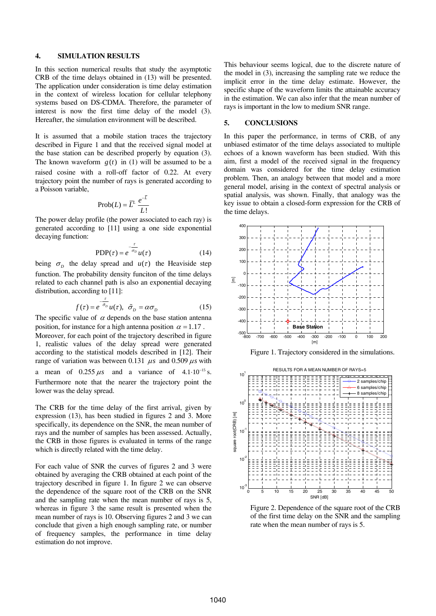## **4. SIMULATION RESULTS**

In this section numerical results that study the asymptotic CRB of the time delays obtained in (13) will be presented. The application under consideration is time delay estimation in the context of wireless location for cellular telephony systems based on DS-CDMA. Therefore, the parameter of interest is now the first time delay of the model (3). Hereafter, the simulation environment will be described.

It is assumed that a mobile station traces the trajectory described in Figure 1 and that the received signal model at the base station can be described properly by equation (3). The known waveform  $g(t)$  in (1) will be assumed to be a raised cosine with a roll-off factor of 0.22. At every trajectory point the number of rays is generated according to a Poisson variable,

$$
\text{Prob}(L) = \overline{L}^L \frac{e^{-L}}{L!}
$$

The power delay profile (the power associated to each ray) is generated according to [11] using a one side exponential decaying function:

$$
PDP(\tau) = e^{-\frac{\tau}{\sigma_D}} u(\tau)
$$
 (14)

being  $\sigma_p$  the delay spread and  $u(\tau)$  the Heaviside step function. The probability density funciton of the time delays related to each channel path is also an exponential decaying distribution, according to [11]:

$$
f(\tau) = e^{-\frac{\tau}{\tilde{\sigma}_D}} u(\tau), \ \ \tilde{\sigma}_D = \alpha \sigma_D \tag{15}
$$

The specific value of  $\alpha$  depends on the base station antenna position, for instance for a high antenna position  $\alpha = 1.17$ . Moreover, for each point of the trajectory described in figure 1, realistic values of the delay spread were generated according to the statistical models described in [12]. Their range of variation was between 0.131  $\mu s$  and 0.509  $\mu s$  with a mean of  $0.255 \,\mu s$  and a variance of  $4.1 \cdot 10^{-15}$  s. Furthermore note that the nearer the trajectory point the lower was the delay spread.

The CRB for the time delay of the first arrival, given by expression (13), has been studied in figures 2 and 3. More specifically, its dependence on the SNR, the mean number of rays and the number of samples has been assessed. Actually, the CRB in those figures is evaluated in terms of the range which is directly related with the time delay.

For each value of SNR the curves of figures 2 and 3 were obtained by averaging the CRB obtained at each point of the trajectory described in figure 1. In figure 2 we can observe the dependence of the square root of the CRB on the SNR and the sampling rate when the mean number of rays is 5, whereas in figure 3 the same result is presented when the mean number of rays is 10. Observing figures 2 and 3 we can conclude that given a high enough sampling rate, or number of frequency samples, the performance in time delay estimation do not improve.

This behaviour seems logical, due to the discrete nature of the model in (3), increasing the sampling rate we reduce the implicit error in the time delay estimate. However, the specific shape of the waveform limits the attainable accuracy in the estimation. We can also infer that the mean number of rays is important in the low to medium SNR range.

## **5. CONCLUSIONS**

In this paper the performance, in terms of CRB, of any unbiased estimator of the time delays associated to multiple echoes of a known waveform has been studied. With this aim, first a model of the received signal in the frequency domain was considered for the time delay estimation problem. Then, an analogy between that model and a more general model, arising in the context of spectral analysis or spatial analysis, was shown. Finally, that analogy was the key issue to obtain a closed-form expression for the CRB of the time delays.



Figure 1. Trajectory considered in the simulations.



Figure 2. Dependence of the square root of the CRB of the first time delay on the SNR and the sampling rate when the mean number of rays is 5.